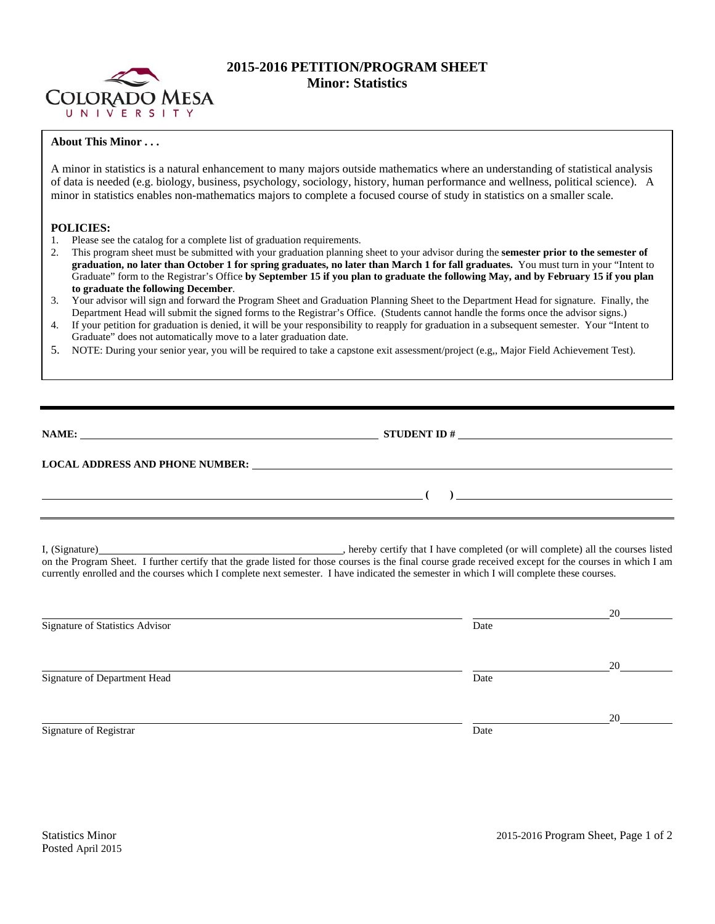

## **2015-2016 PETITION/PROGRAM SHEET Minor: Statistics**

## **About This Minor . . .**

A minor in statistics is a natural enhancement to many majors outside mathematics where an understanding of statistical analysis of data is needed (e.g. biology, business, psychology, sociology, history, human performance and wellness, political science). A minor in statistics enables non-mathematics majors to complete a focused course of study in statistics on a smaller scale.

## **POLICIES:**

1. Please see the catalog for a complete list of graduation requirements.

**LOCAL ADDRESS AND PHONE NUMBER:**

- 2. This program sheet must be submitted with your graduation planning sheet to your advisor during the **semester prior to the semester of graduation, no later than October 1 for spring graduates, no later than March 1 for fall graduates.** You must turn in your "Intent to Graduate" form to the Registrar's Office **by September 15 if you plan to graduate the following May, and by February 15 if you plan to graduate the following December**.
- 3. Your advisor will sign and forward the Program Sheet and Graduation Planning Sheet to the Department Head for signature. Finally, the Department Head will submit the signed forms to the Registrar's Office. (Students cannot handle the forms once the advisor signs.)
- 4. If your petition for graduation is denied, it will be your responsibility to reapply for graduation in a subsequent semester. Your "Intent to Graduate" does not automatically move to a later graduation date.
- 5. NOTE: During your senior year, you will be required to take a capstone exit assessment/project (e.g,, Major Field Achievement Test).

I, (Signature) **Solution** , hereby certify that I have completed (or will complete) all the courses listed on the Program Sheet. I further certify that the grade listed for those courses is the final course grade received except for the courses in which I am currently enrolled and the courses which I complete next semester. I have indicated the semester in which I will complete these courses.

 **( )** 

**NAME: STUDENT ID #**

|                                 |      | 20 |
|---------------------------------|------|----|
| Signature of Statistics Advisor | Date |    |
|                                 |      |    |
|                                 |      | 20 |
| Signature of Department Head    | Date |    |
|                                 |      |    |
|                                 |      | 20 |
| Signature of Registrar          | Date |    |
|                                 |      |    |